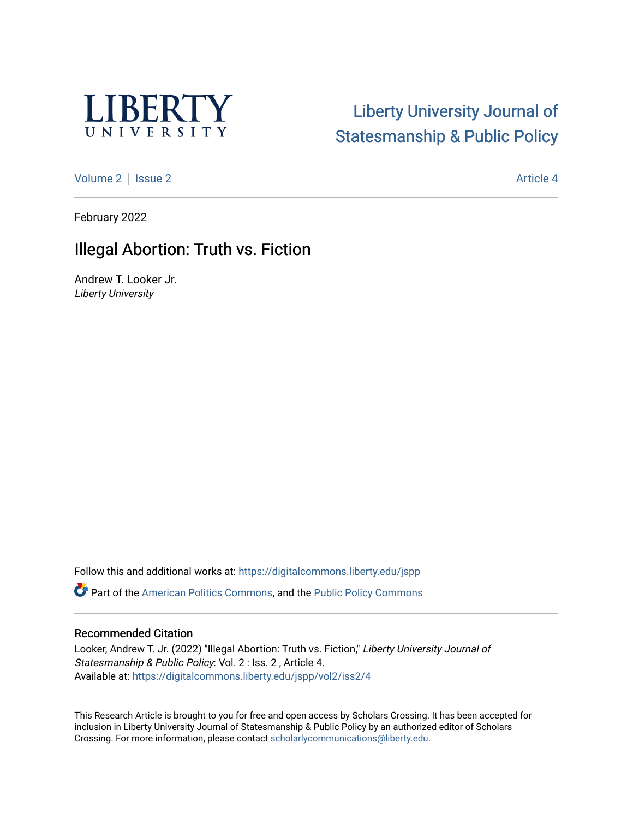

# [Liberty University Journal of](https://digitalcommons.liberty.edu/jspp)  [Statesmanship & Public Policy](https://digitalcommons.liberty.edu/jspp)

[Volume 2](https://digitalcommons.liberty.edu/jspp/vol2) | [Issue 2](https://digitalcommons.liberty.edu/jspp/vol2/iss2) Article 4

February 2022

# Illegal Abortion: Truth vs. Fiction

Andrew T. Looker Jr. Liberty University

Follow this and additional works at: [https://digitalcommons.liberty.edu/jspp](https://digitalcommons.liberty.edu/jspp?utm_source=digitalcommons.liberty.edu%2Fjspp%2Fvol2%2Fiss2%2F4&utm_medium=PDF&utm_campaign=PDFCoverPages)  **P** Part of the [American Politics Commons,](http://network.bepress.com/hgg/discipline/387?utm_source=digitalcommons.liberty.edu%2Fjspp%2Fvol2%2Fiss2%2F4&utm_medium=PDF&utm_campaign=PDFCoverPages) and the [Public Policy Commons](http://network.bepress.com/hgg/discipline/400?utm_source=digitalcommons.liberty.edu%2Fjspp%2Fvol2%2Fiss2%2F4&utm_medium=PDF&utm_campaign=PDFCoverPages)

### Recommended Citation

Looker, Andrew T. Jr. (2022) "Illegal Abortion: Truth vs. Fiction," Liberty University Journal of Statesmanship & Public Policy: Vol. 2 : Iss. 2 , Article 4. Available at: [https://digitalcommons.liberty.edu/jspp/vol2/iss2/4](https://digitalcommons.liberty.edu/jspp/vol2/iss2/4?utm_source=digitalcommons.liberty.edu%2Fjspp%2Fvol2%2Fiss2%2F4&utm_medium=PDF&utm_campaign=PDFCoverPages) 

This Research Article is brought to you for free and open access by Scholars Crossing. It has been accepted for inclusion in Liberty University Journal of Statesmanship & Public Policy by an authorized editor of Scholars Crossing. For more information, please contact [scholarlycommunications@liberty.edu](mailto:scholarlycommunications@liberty.edu).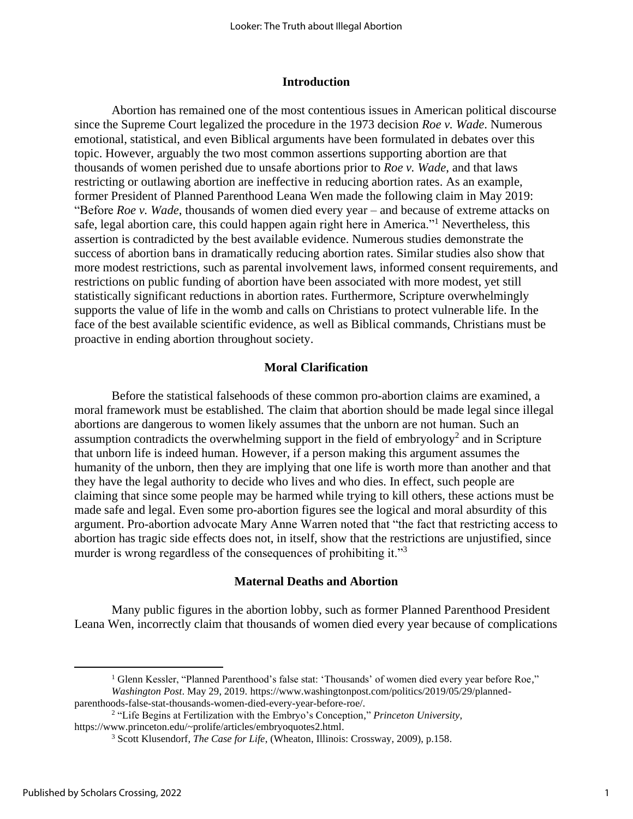#### **Introduction**

Abortion has remained one of the most contentious issues in American political discourse since the Supreme Court legalized the procedure in the 1973 decision *Roe v. Wade*. Numerous emotional, statistical, and even Biblical arguments have been formulated in debates over this topic. However, arguably the two most common assertions supporting abortion are that thousands of women perished due to unsafe abortions prior to *Roe v. Wade*, and that laws restricting or outlawing abortion are ineffective in reducing abortion rates. As an example, former President of Planned Parenthood Leana Wen made the following claim in May 2019: "Before *Roe v. Wade*, thousands of women died every year – and because of extreme attacks on safe, legal abortion care, this could happen again right here in America."<sup>1</sup> Nevertheless, this assertion is contradicted by the best available evidence. Numerous studies demonstrate the success of abortion bans in dramatically reducing abortion rates. Similar studies also show that more modest restrictions, such as parental involvement laws, informed consent requirements, and restrictions on public funding of abortion have been associated with more modest, yet still statistically significant reductions in abortion rates. Furthermore, Scripture overwhelmingly supports the value of life in the womb and calls on Christians to protect vulnerable life. In the face of the best available scientific evidence, as well as Biblical commands, Christians must be proactive in ending abortion throughout society.

#### **Moral Clarification**

Before the statistical falsehoods of these common pro-abortion claims are examined, a moral framework must be established. The claim that abortion should be made legal since illegal abortions are dangerous to women likely assumes that the unborn are not human. Such an assumption contradicts the overwhelming support in the field of embryology<sup>2</sup> and in Scripture that unborn life is indeed human. However, if a person making this argument assumes the humanity of the unborn, then they are implying that one life is worth more than another and that they have the legal authority to decide who lives and who dies. In effect, such people are claiming that since some people may be harmed while trying to kill others, these actions must be made safe and legal. Even some pro-abortion figures see the logical and moral absurdity of this argument. Pro-abortion advocate Mary Anne Warren noted that "the fact that restricting access to abortion has tragic side effects does not, in itself, show that the restrictions are unjustified, since murder is wrong regardless of the consequences of prohibiting it."<sup>3</sup>

#### **Maternal Deaths and Abortion**

Many public figures in the abortion lobby, such as former Planned Parenthood President Leana Wen, incorrectly claim that thousands of women died every year because of complications

<sup>1</sup> Glenn Kessler, "Planned Parenthood's false stat: 'Thousands' of women died every year before Roe," *Washington Post*. May 29, 2019. https://www.washingtonpost.com/politics/2019/05/29/plannedparenthoods-false-stat-thousands-women-died-every-year-before-roe/.

<sup>2</sup> "Life Begins at Fertilization with the Embryo's Conception," *Princeton University*, https://www.princeton.edu/~prolife/articles/embryoquotes2.html.

<sup>3</sup> Scott Klusendorf, *The Case for Life*, (Wheaton, Illinois: Crossway, 2009), p.158.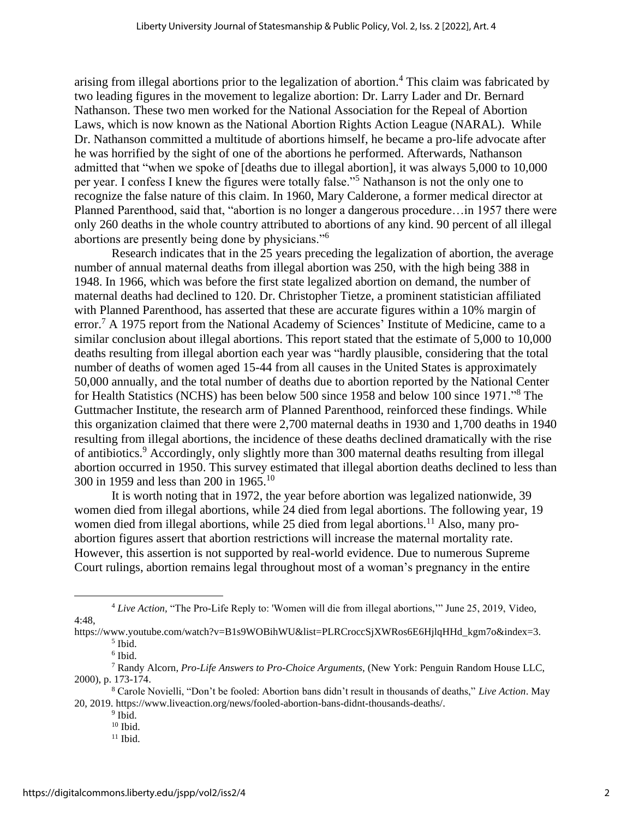arising from illegal abortions prior to the legalization of abortion.<sup>4</sup> This claim was fabricated by two leading figures in the movement to legalize abortion: Dr. Larry Lader and Dr. Bernard Nathanson. These two men worked for the National Association for the Repeal of Abortion Laws, which is now known as the National Abortion Rights Action League (NARAL). While Dr. Nathanson committed a multitude of abortions himself, he became a pro-life advocate after he was horrified by the sight of one of the abortions he performed. Afterwards, Nathanson admitted that "when we spoke of [deaths due to illegal abortion], it was always 5,000 to 10,000 per year. I confess I knew the figures were totally false."<sup>5</sup> Nathanson is not the only one to recognize the false nature of this claim. In 1960, Mary Calderone, a former medical director at Planned Parenthood, said that, "abortion is no longer a dangerous procedure…in 1957 there were only 260 deaths in the whole country attributed to abortions of any kind. 90 percent of all illegal abortions are presently being done by physicians."<sup>6</sup>

Research indicates that in the 25 years preceding the legalization of abortion, the average number of annual maternal deaths from illegal abortion was 250, with the high being 388 in 1948. In 1966, which was before the first state legalized abortion on demand, the number of maternal deaths had declined to 120. Dr. Christopher Tietze, a prominent statistician affiliated with Planned Parenthood, has asserted that these are accurate figures within a 10% margin of error.<sup>7</sup> A 1975 report from the National Academy of Sciences' Institute of Medicine, came to a similar conclusion about illegal abortions. This report stated that the estimate of 5,000 to 10,000 deaths resulting from illegal abortion each year was "hardly plausible, considering that the total number of deaths of women aged 15-44 from all causes in the United States is approximately 50,000 annually, and the total number of deaths due to abortion reported by the National Center for Health Statistics (NCHS) has been below 500 since 1958 and below 100 since 1971."<sup>8</sup> The Guttmacher Institute, the research arm of Planned Parenthood, reinforced these findings. While this organization claimed that there were 2,700 maternal deaths in 1930 and 1,700 deaths in 1940 resulting from illegal abortions, the incidence of these deaths declined dramatically with the rise of antibiotics.<sup>9</sup> Accordingly, only slightly more than 300 maternal deaths resulting from illegal abortion occurred in 1950. This survey estimated that illegal abortion deaths declined to less than 300 in 1959 and less than 200 in 1965.<sup>10</sup>

It is worth noting that in 1972, the year before abortion was legalized nationwide, 39 women died from illegal abortions, while 24 died from legal abortions. The following year, 19 women died from illegal abortions, while 25 died from legal abortions.<sup>11</sup> Also, many proabortion figures assert that abortion restrictions will increase the maternal mortality rate. However, this assertion is not supported by real-world evidence. Due to numerous Supreme Court rulings, abortion remains legal throughout most of a woman's pregnancy in the entire

<sup>4</sup> *Live Action,* "The Pro-Life Reply to: 'Women will die from illegal abortions,'" June 25, 2019, Video, 4:48,

https://www.youtube.com/watch?v=B1s9WOBihWU&list=PLRCroccSjXWRos6E6HjlqHHd\_kgm7o&index=3. 5 Ibid.

<sup>6</sup> Ibid.

<sup>7</sup> Randy Alcorn, *Pro-Life Answers to Pro-Choice Arguments*, (New York: Penguin Random House LLC, 2000), p. 173-174.

<sup>8</sup> Carole Novielli, "Don't be fooled: Abortion bans didn't result in thousands of deaths," *Live Action*. May 20, 2019. https://www.liveaction.org/news/fooled-abortion-bans-didnt-thousands-deaths/.

<sup>&</sup>lt;sup>9</sup> Ibid.

 $10$  Ibid.

 $11$  Ibid.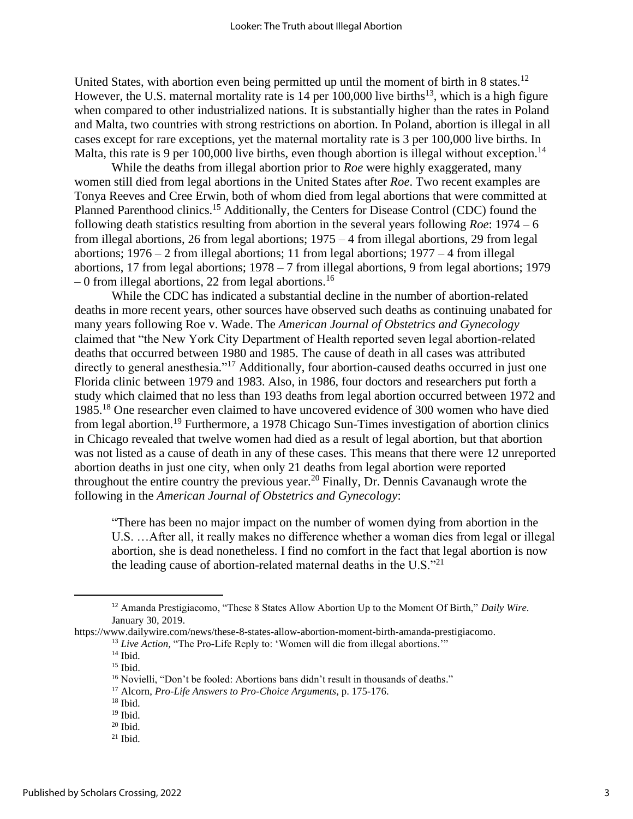United States, with abortion even being permitted up until the moment of birth in 8 states.<sup>12</sup> However, the U.S. maternal mortality rate is 14 per  $100,000$  live births<sup>13</sup>, which is a high figure when compared to other industrialized nations. It is substantially higher than the rates in Poland and Malta, two countries with strong restrictions on abortion. In Poland, abortion is illegal in all cases except for rare exceptions, yet the maternal mortality rate is 3 per 100,000 live births. In Malta, this rate is 9 per 100,000 live births, even though abortion is illegal without exception.<sup>14</sup>

While the deaths from illegal abortion prior to *Roe* were highly exaggerated, many women still died from legal abortions in the United States after *Roe*. Two recent examples are Tonya Reeves and Cree Erwin, both of whom died from legal abortions that were committed at Planned Parenthood clinics.<sup>15</sup> Additionally, the Centers for Disease Control (CDC) found the following death statistics resulting from abortion in the several years following *Roe*: 1974 – 6 from illegal abortions, 26 from legal abortions; 1975 – 4 from illegal abortions, 29 from legal abortions; 1976 – 2 from illegal abortions; 11 from legal abortions; 1977 – 4 from illegal abortions, 17 from legal abortions; 1978 – 7 from illegal abortions, 9 from legal abortions; 1979 – 0 from illegal abortions, 22 from legal abortions.<sup>16</sup>

While the CDC has indicated a substantial decline in the number of abortion-related deaths in more recent years, other sources have observed such deaths as continuing unabated for many years following Roe v. Wade. The *American Journal of Obstetrics and Gynecology* claimed that "the New York City Department of Health reported seven legal abortion-related deaths that occurred between 1980 and 1985. The cause of death in all cases was attributed directly to general anesthesia."<sup>17</sup> Additionally, four abortion-caused deaths occurred in just one Florida clinic between 1979 and 1983. Also, in 1986, four doctors and researchers put forth a study which claimed that no less than 193 deaths from legal abortion occurred between 1972 and 1985.<sup>18</sup> One researcher even claimed to have uncovered evidence of 300 women who have died from legal abortion.<sup>19</sup> Furthermore, a 1978 Chicago Sun-Times investigation of abortion clinics in Chicago revealed that twelve women had died as a result of legal abortion, but that abortion was not listed as a cause of death in any of these cases. This means that there were 12 unreported abortion deaths in just one city, when only 21 deaths from legal abortion were reported throughout the entire country the previous year.<sup>20</sup> Finally, Dr. Dennis Cavanaugh wrote the following in the *American Journal of Obstetrics and Gynecology*:

"There has been no major impact on the number of women dying from abortion in the U.S. …After all, it really makes no difference whether a woman dies from legal or illegal abortion, she is dead nonetheless. I find no comfort in the fact that legal abortion is now the leading cause of abortion-related maternal deaths in the U.S. $^{221}$ 

https://www.dailywire.com/news/these-8-states-allow-abortion-moment-birth-amanda-prestigiacomo.

<sup>12</sup> Amanda Prestigiacomo, "These 8 States Allow Abortion Up to the Moment Of Birth," *Daily Wire*. January 30, 2019.

<sup>&</sup>lt;sup>13</sup> Live Action, "The Pro-Life Reply to: 'Women will die from illegal abortions.'"

 $14$  Ibid.

 $15$  Ibid.

<sup>&</sup>lt;sup>16</sup> Novielli, "Don't be fooled: Abortions bans didn't result in thousands of deaths."

<sup>17</sup> Alcorn, *Pro-Life Answers to Pro-Choice Arguments,* p. 175-176.

 $18$  Ibid.

<sup>19</sup> Ibid.

 $20$  Ibid.

 $21$  Ibid.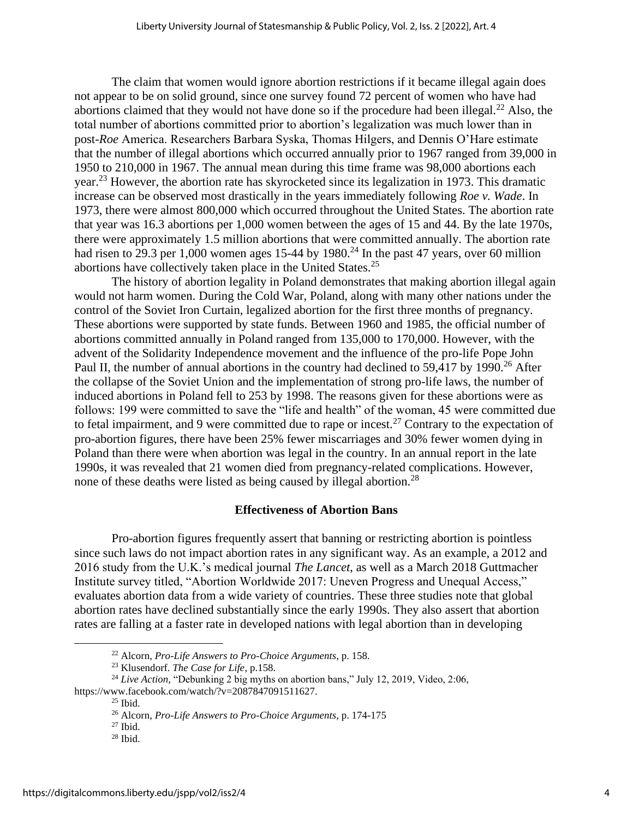The claim that women would ignore abortion restrictions if it became illegal again does not appear to be on solid ground, since one survey found 72 percent of women who have had abortions claimed that they would not have done so if the procedure had been illegal.<sup>22</sup> Also, the total number of abortions committed prior to abortion's legalization was much lower than in post-*Roe* America. Researchers Barbara Syska, Thomas Hilgers, and Dennis O'Hare estimate that the number of illegal abortions which occurred annually prior to 1967 ranged from 39,000 in 1950 to 210,000 in 1967. The annual mean during this time frame was 98,000 abortions each year.<sup>23</sup> However, the abortion rate has skyrocketed since its legalization in 1973. This dramatic increase can be observed most drastically in the years immediately following *Roe v. Wade*. In 1973, there were almost 800,000 which occurred throughout the United States. The abortion rate that year was 16.3 abortions per 1,000 women between the ages of 15 and 44. By the late 1970s, there were approximately 1.5 million abortions that were committed annually. The abortion rate had risen to 29.3 per 1,000 women ages 15-44 by 1980.<sup>24</sup> In the past 47 years, over 60 million abortions have collectively taken place in the United States.<sup>25</sup>

The history of abortion legality in Poland demonstrates that making abortion illegal again would not harm women. During the Cold War, Poland, along with many other nations under the control of the Soviet Iron Curtain, legalized abortion for the first three months of pregnancy. These abortions were supported by state funds. Between 1960 and 1985, the official number of abortions committed annually in Poland ranged from 135,000 to 170,000. However, with the advent of the Solidarity Independence movement and the influence of the pro-life Pope John Paul II, the number of annual abortions in the country had declined to 59,417 by 1990.<sup>26</sup> After the collapse of the Soviet Union and the implementation of strong pro-life laws, the number of induced abortions in Poland fell to 253 by 1998. The reasons given for these abortions were as follows: 199 were committed to save the "life and health" of the woman, 45 were committed due to fetal impairment, and 9 were committed due to rape or incest.<sup>27</sup> Contrary to the expectation of pro-abortion figures, there have been 25% fewer miscarriages and 30% fewer women dying in Poland than there were when abortion was legal in the country. In an annual report in the late 1990s, it was revealed that 21 women died from pregnancy-related complications. However, none of these deaths were listed as being caused by illegal abortion.<sup>28</sup>

#### **Effectiveness of Abortion Bans**

Pro-abortion figures frequently assert that banning or restricting abortion is pointless since such laws do not impact abortion rates in any significant way. As an example, a 2012 and 2016 study from the U.K.'s medical journal *The Lancet*, as well as a March 2018 Guttmacher Institute survey titled, "Abortion Worldwide 2017: Uneven Progress and Unequal Access," evaluates abortion data from a wide variety of countries. These three studies note that global abortion rates have declined substantially since the early 1990s. They also assert that abortion rates are falling at a faster rate in developed nations with legal abortion than in developing

<sup>22</sup> Alcorn, *Pro-Life Answers to Pro-Choice Arguments*, p. 158.

<sup>23</sup> Klusendorf. *The Case for Life*, p.158.

<sup>&</sup>lt;sup>24</sup> *Live Action,* "Debunking 2 big myths on abortion bans," July 12, 2019, Video, 2:06,

https://www.facebook.com/watch/?v=2087847091511627.

 $25$  Ibid.

<sup>26</sup> Alcorn, *Pro-Life Answers to Pro-Choice Arguments*, p. 174-175

 $27$  Ibid.

<sup>28</sup> Ibid.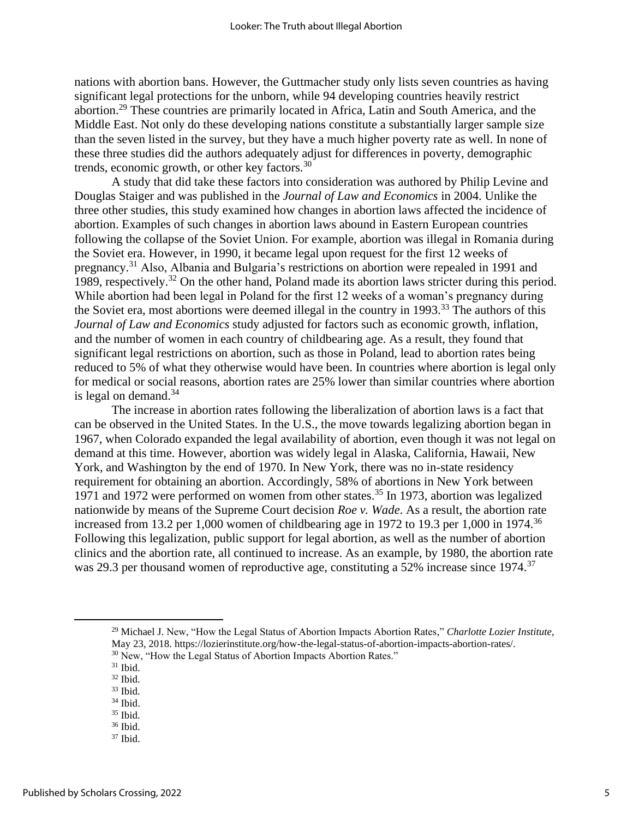nations with abortion bans. However, the Guttmacher study only lists seven countries as having significant legal protections for the unborn, while 94 developing countries heavily restrict abortion.<sup>29</sup> These countries are primarily located in Africa, Latin and South America, and the Middle East. Not only do these developing nations constitute a substantially larger sample size than the seven listed in the survey, but they have a much higher poverty rate as well. In none of these three studies did the authors adequately adjust for differences in poverty, demographic trends, economic growth, or other key factors.<sup>30</sup>

A study that did take these factors into consideration was authored by Philip Levine and Douglas Staiger and was published in the *Journal of Law and Economics* in 2004. Unlike the three other studies, this study examined how changes in abortion laws affected the incidence of abortion. Examples of such changes in abortion laws abound in Eastern European countries following the collapse of the Soviet Union. For example, abortion was illegal in Romania during the Soviet era. However, in 1990, it became legal upon request for the first 12 weeks of pregnancy.<sup>31</sup> Also, Albania and Bulgaria's restrictions on abortion were repealed in 1991 and 1989, respectively.<sup>32</sup> On the other hand, Poland made its abortion laws stricter during this period. While abortion had been legal in Poland for the first 12 weeks of a woman's pregnancy during the Soviet era, most abortions were deemed illegal in the country in  $1993$ <sup>33</sup>. The authors of this *Journal of Law and Economics* study adjusted for factors such as economic growth, inflation, and the number of women in each country of childbearing age. As a result, they found that significant legal restrictions on abortion, such as those in Poland, lead to abortion rates being reduced to 5% of what they otherwise would have been. In countries where abortion is legal only for medical or social reasons, abortion rates are 25% lower than similar countries where abortion is legal on demand. $34$ 

The increase in abortion rates following the liberalization of abortion laws is a fact that can be observed in the United States. In the U.S., the move towards legalizing abortion began in 1967, when Colorado expanded the legal availability of abortion, even though it was not legal on demand at this time. However, abortion was widely legal in Alaska, California, Hawaii, New York, and Washington by the end of 1970. In New York, there was no in-state residency requirement for obtaining an abortion. Accordingly, 58% of abortions in New York between 1971 and 1972 were performed on women from other states.<sup>35</sup> In 1973, abortion was legalized nationwide by means of the Supreme Court decision *Roe v. Wade*. As a result, the abortion rate increased from 13.2 per 1,000 women of childbearing age in 1972 to 19.3 per 1,000 in 1974.<sup>36</sup> Following this legalization, public support for legal abortion, as well as the number of abortion clinics and the abortion rate, all continued to increase. As an example, by 1980, the abortion rate was 29.3 per thousand women of reproductive age, constituting a 52% increase since 1974.<sup>37</sup>

<sup>29</sup> Michael J. New, "How the Legal Status of Abortion Impacts Abortion Rates," *Charlotte Lozier Institute*, May 23, 2018. https://lozierinstitute.org/how-the-legal-status-of-abortion-impacts-abortion-rates/. <sup>30</sup> New, "How the Legal Status of Abortion Impacts Abortion Rates."

 $36$  Ibid.

 $31$  Ibid.

<sup>32</sup> Ibid.

 $33$  Ibid.

 $34$  Ibid.

<sup>35</sup> Ibid.

<sup>37</sup> Ibid.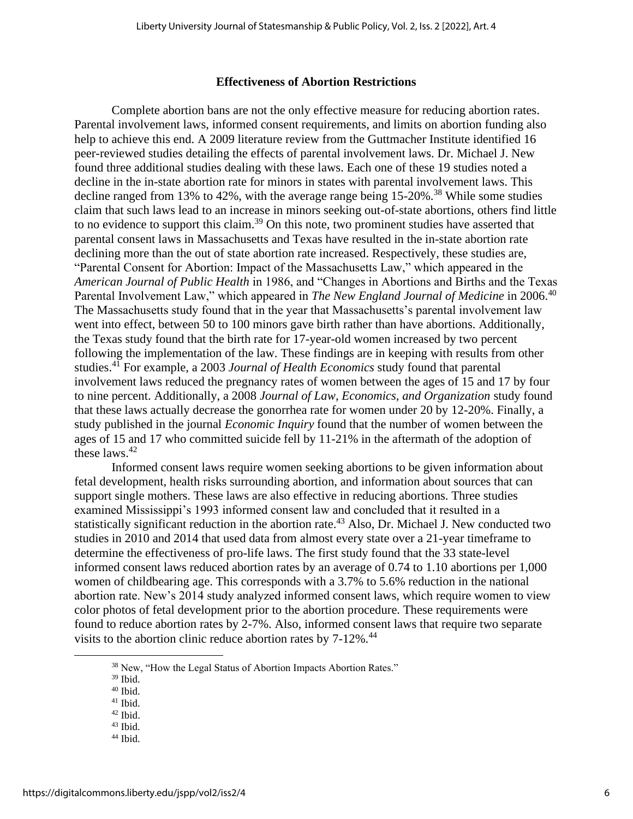#### **Effectiveness of Abortion Restrictions**

Complete abortion bans are not the only effective measure for reducing abortion rates. Parental involvement laws, informed consent requirements, and limits on abortion funding also help to achieve this end. A 2009 literature review from the Guttmacher Institute identified 16 peer-reviewed studies detailing the effects of parental involvement laws. Dr. Michael J. New found three additional studies dealing with these laws. Each one of these 19 studies noted a decline in the in-state abortion rate for minors in states with parental involvement laws. This decline ranged from 13% to 42%, with the average range being  $15{\text -}20\%$ .<sup>38</sup> While some studies claim that such laws lead to an increase in minors seeking out-of-state abortions, others find little to no evidence to support this claim.<sup>39</sup> On this note, two prominent studies have asserted that parental consent laws in Massachusetts and Texas have resulted in the in-state abortion rate declining more than the out of state abortion rate increased. Respectively, these studies are, "Parental Consent for Abortion: Impact of the Massachusetts Law," which appeared in the *American Journal of Public Health* in 1986, and "Changes in Abortions and Births and the Texas Parental Involvement Law," which appeared in *The New England Journal of Medicine* in 2006.<sup>40</sup> The Massachusetts study found that in the year that Massachusetts's parental involvement law went into effect, between 50 to 100 minors gave birth rather than have abortions. Additionally, the Texas study found that the birth rate for 17-year-old women increased by two percent following the implementation of the law. These findings are in keeping with results from other studies.<sup>41</sup> For example, a 2003 *Journal of Health Economics* study found that parental involvement laws reduced the pregnancy rates of women between the ages of 15 and 17 by four to nine percent. Additionally, a 2008 *Journal of Law, Economics, and Organization* study found that these laws actually decrease the gonorrhea rate for women under 20 by 12-20%. Finally, a study published in the journal *Economic Inquiry* found that the number of women between the ages of 15 and 17 who committed suicide fell by 11-21% in the aftermath of the adoption of these laws.  $42$ 

Informed consent laws require women seeking abortions to be given information about fetal development, health risks surrounding abortion, and information about sources that can support single mothers. These laws are also effective in reducing abortions. Three studies examined Mississippi's 1993 informed consent law and concluded that it resulted in a statistically significant reduction in the abortion rate.<sup>43</sup> Also, Dr. Michael J. New conducted two studies in 2010 and 2014 that used data from almost every state over a 21-year timeframe to determine the effectiveness of pro-life laws. The first study found that the 33 state-level informed consent laws reduced abortion rates by an average of 0.74 to 1.10 abortions per 1,000 women of childbearing age. This corresponds with a 3.7% to 5.6% reduction in the national abortion rate. New's 2014 study analyzed informed consent laws, which require women to view color photos of fetal development prior to the abortion procedure. These requirements were found to reduce abortion rates by 2-7%. Also, informed consent laws that require two separate visits to the abortion clinic reduce abortion rates by 7-12%.<sup>44</sup>

 $44$  Ibid.

<sup>&</sup>lt;sup>38</sup> New, "How the Legal Status of Abortion Impacts Abortion Rates."

 $39$  Ibid.

 $40$  Ibid.

 $41$  Ibid. <sup>42</sup> Ibid.

 $43$  Ibid.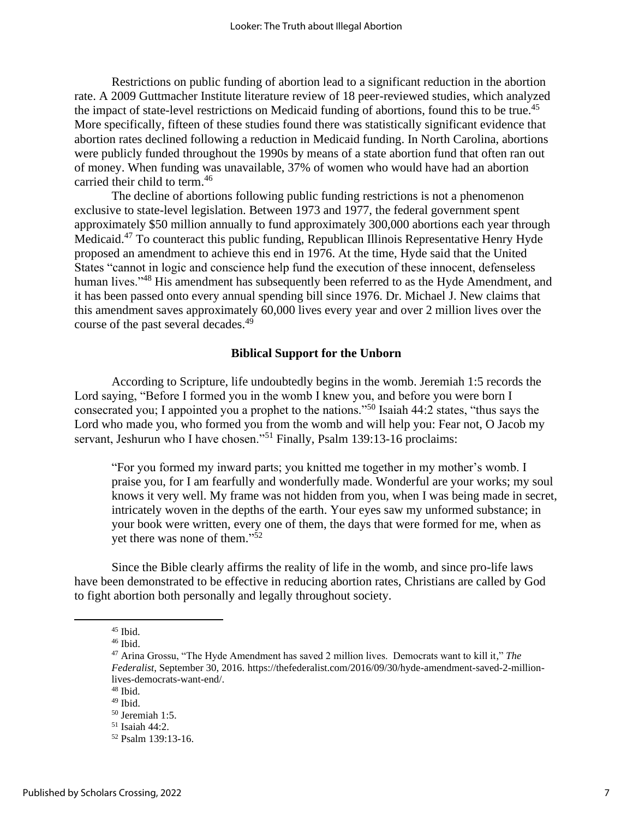Restrictions on public funding of abortion lead to a significant reduction in the abortion rate. A 2009 Guttmacher Institute literature review of 18 peer-reviewed studies, which analyzed the impact of state-level restrictions on Medicaid funding of abortions, found this to be true.<sup>45</sup> More specifically, fifteen of these studies found there was statistically significant evidence that abortion rates declined following a reduction in Medicaid funding. In North Carolina, abortions were publicly funded throughout the 1990s by means of a state abortion fund that often ran out of money. When funding was unavailable, 37% of women who would have had an abortion carried their child to term.<sup>46</sup>

The decline of abortions following public funding restrictions is not a phenomenon exclusive to state-level legislation. Between 1973 and 1977, the federal government spent approximately \$50 million annually to fund approximately 300,000 abortions each year through Medicaid.<sup>47</sup> To counteract this public funding, Republican Illinois Representative Henry Hyde proposed an amendment to achieve this end in 1976. At the time, Hyde said that the United States "cannot in logic and conscience help fund the execution of these innocent, defenseless human lives."<sup>48</sup> His amendment has subsequently been referred to as the Hyde Amendment, and it has been passed onto every annual spending bill since 1976. Dr. Michael J. New claims that this amendment saves approximately 60,000 lives every year and over 2 million lives over the course of the past several decades.<sup>49</sup>

#### **Biblical Support for the Unborn**

According to Scripture, life undoubtedly begins in the womb. Jeremiah 1:5 records the Lord saying, "Before I formed you in the womb I knew you, and before you were born I consecrated you; I appointed you a prophet to the nations."<sup>50</sup> Isaiah 44:2 states, "thus says the Lord who made you, who formed you from the womb and will help you: Fear not, O Jacob my servant, Jeshurun who I have chosen."<sup>51</sup> Finally, Psalm 139:13-16 proclaims:

"For you formed my inward parts; you knitted me together in my mother's womb. I praise you, for I am fearfully and wonderfully made. Wonderful are your works; my soul knows it very well. My frame was not hidden from you, when I was being made in secret, intricately woven in the depths of the earth. Your eyes saw my unformed substance; in your book were written, every one of them, the days that were formed for me, when as yet there was none of them."<sup>52</sup>

Since the Bible clearly affirms the reality of life in the womb, and since pro-life laws have been demonstrated to be effective in reducing abortion rates, Christians are called by God to fight abortion both personally and legally throughout society.

 $45$  Ibid.

<sup>46</sup> Ibid.

<sup>47</sup> Arina Grossu, "The Hyde Amendment has saved 2 million lives. Democrats want to kill it," *The Federalist*, September 30, 2016. https://thefederalist.com/2016/09/30/hyde-amendment-saved-2-millionlives-democrats-want-end/.

 $48$  Ibid.

 $49$  Ibid.

<sup>50</sup> Jeremiah 1:5. <sup>51</sup> Isaiah 44:2.

<sup>52</sup> Psalm 139:13-16.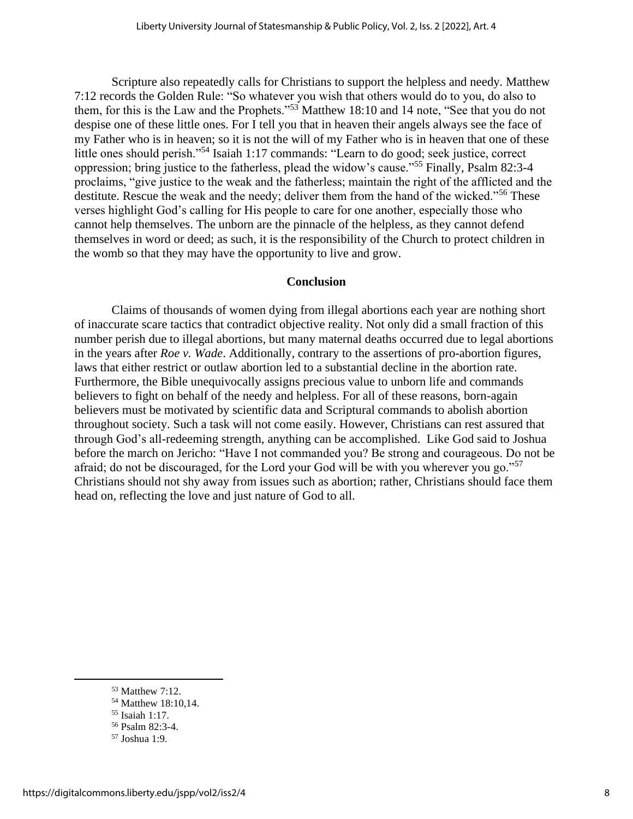Scripture also repeatedly calls for Christians to support the helpless and needy. Matthew 7:12 records the Golden Rule: "So whatever you wish that others would do to you, do also to them, for this is the Law and the Prophets."<sup>53</sup> Matthew 18:10 and 14 note, "See that you do not despise one of these little ones. For I tell you that in heaven their angels always see the face of my Father who is in heaven; so it is not the will of my Father who is in heaven that one of these little ones should perish."<sup>54</sup> Isaiah 1:17 commands: "Learn to do good; seek justice, correct oppression; bring justice to the fatherless, plead the widow's cause."<sup>55</sup> Finally, Psalm 82:3-4 proclaims, "give justice to the weak and the fatherless; maintain the right of the afflicted and the destitute. Rescue the weak and the needy; deliver them from the hand of the wicked."<sup>56</sup> These verses highlight God's calling for His people to care for one another, especially those who cannot help themselves. The unborn are the pinnacle of the helpless, as they cannot defend themselves in word or deed; as such, it is the responsibility of the Church to protect children in the womb so that they may have the opportunity to live and grow.

# **Conclusion**

Claims of thousands of women dying from illegal abortions each year are nothing short of inaccurate scare tactics that contradict objective reality. Not only did a small fraction of this number perish due to illegal abortions, but many maternal deaths occurred due to legal abortions in the years after *Roe v. Wade*. Additionally, contrary to the assertions of pro-abortion figures, laws that either restrict or outlaw abortion led to a substantial decline in the abortion rate. Furthermore, the Bible unequivocally assigns precious value to unborn life and commands believers to fight on behalf of the needy and helpless. For all of these reasons, born-again believers must be motivated by scientific data and Scriptural commands to abolish abortion throughout society. Such a task will not come easily. However, Christians can rest assured that through God's all-redeeming strength, anything can be accomplished. Like God said to Joshua before the march on Jericho: "Have I not commanded you? Be strong and courageous. Do not be afraid; do not be discouraged, for the Lord your God will be with you wherever you go."<sup>57</sup> Christians should not shy away from issues such as abortion; rather, Christians should face them head on, reflecting the love and just nature of God to all.

<sup>53</sup> Matthew 7:12.

<sup>54</sup> Matthew 18:10,14.

<sup>55</sup> Isaiah 1:17.

<sup>56</sup> Psalm 82:3-4.

<sup>57</sup> Joshua 1:9.